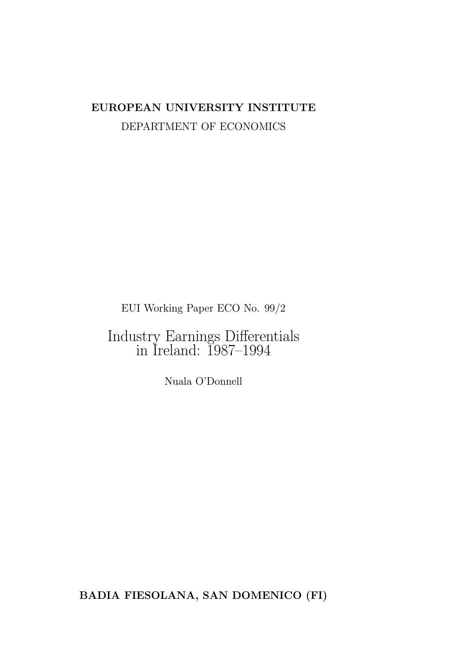# EUROPEAN UNIVERSITY INSTITUTE DEPARTMENT OF ECONOMICS

EUI Working Paper ECO No. 99/2

Industry Earnings Differentials in Ireland: 1987–1994

Nuala O'Donnell

BADIA FIESOLANA, SAN DOMENICO (FI)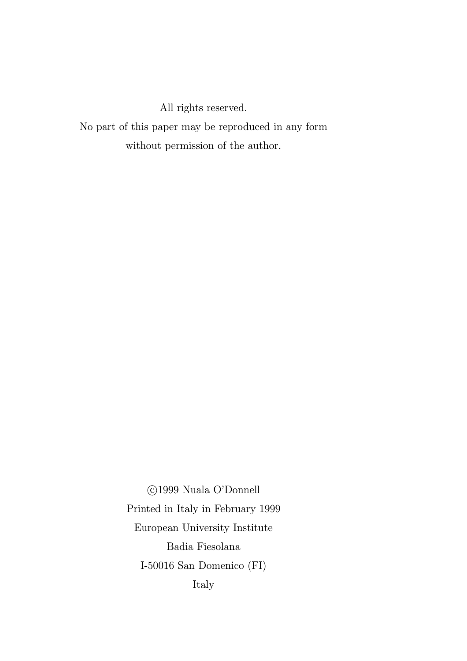All rights reserved.

No part of this paper may be reproduced in any form without permission of the author.

> °c 1999 Nuala O'Donnell Printed in Italy in February 1999 European University Institute Badia Fiesolana I-50016 San Domenico (FI) Italy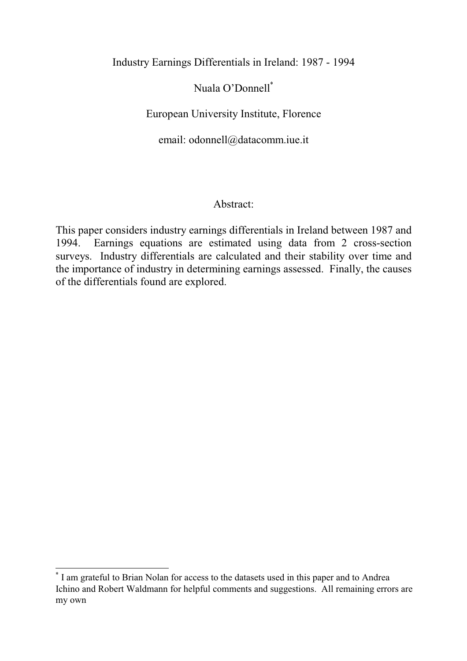Industry Earnings Differentials in Ireland: 1987 - 1994

## Nuala O'Donnell<sup>\*</sup>

European University Institute, Florence

email: odonnell@datacomm.iue.it

## Abstract:

This paper considers industry earnings differentials in Ireland between 1987 and 1994. Earnings equations are estimated using data from 2 cross-section surveys. Industry differentials are calculated and their stability over time and the importance of industry in determining earnings assessed. Finally, the causes of the differentials found are explored.

<sup>\*</sup> I am grateful to Brian Nolan for access to the datasets used in this paper and to Andrea Ichino and Robert Waldmann for helpful comments and suggestions. All remaining errors are my own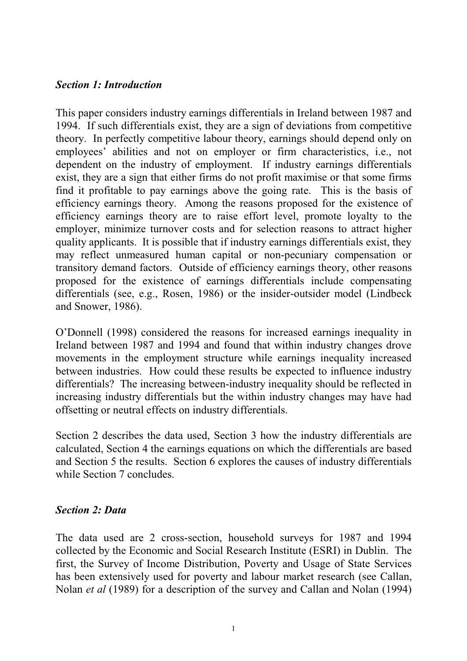### Section 1: Introduction

This paper considers industry earnings differentials in Ireland between 1987 and 1994. If such differentials exist, they are a sign of deviations from competitive theory. In perfectly competitive labour theory, earnings should depend only on employees' abilities and not on employer or firm characteristics, i.e., not dependent on the industry of employment. If industry earnings differentials exist, they are a sign that either firms do not profit maximise or that some firms find it profitable to pay earnings above the going rate. This is the basis of efficiency earnings theory. Among the reasons proposed for the existence of efficiency earnings theory are to raise effort level, promote loyalty to the employer, minimize turnover costs and for selection reasons to attract higher quality applicants. It is possible that if industry earnings differentials exist, they may reflect unmeasured human capital or non-pecuniary compensation or transitory demand factors. Outside of efficiency earnings theory, other reasons proposed for the existence of earnings differentials include compensating differentials (see, e.g., Rosen, 1986) or the insider-outsider model (Lindbeck and Snower, 1986).

O'Donnell (1998) considered the reasons for increased earnings inequality in Ireland between 1987 and 1994 and found that within industry changes drove movements in the employment structure while earnings inequality increased between industries. How could these results be expected to influence industry differentials? The increasing between-industry inequality should be reflected in increasing industry differentials but the within industry changes may have had offsetting or neutral effects on industry differentials.

Section 2 describes the data used, Section 3 how the industry differentials are calculated, Section 4 the earnings equations on which the differentials are based and Section 5 the results. Section 6 explores the causes of industry differentials while Section 7 concludes.

### Section 2: Data

The data used are 2 cross-section, household surveys for 1987 and 1994 collected by the Economic and Social Research Institute (ESRI) in Dublin. The first, the Survey of Income Distribution, Poverty and Usage of State Services has been extensively used for poverty and labour market research (see Callan, Nolan et al (1989) for a description of the survey and Callan and Nolan (1994)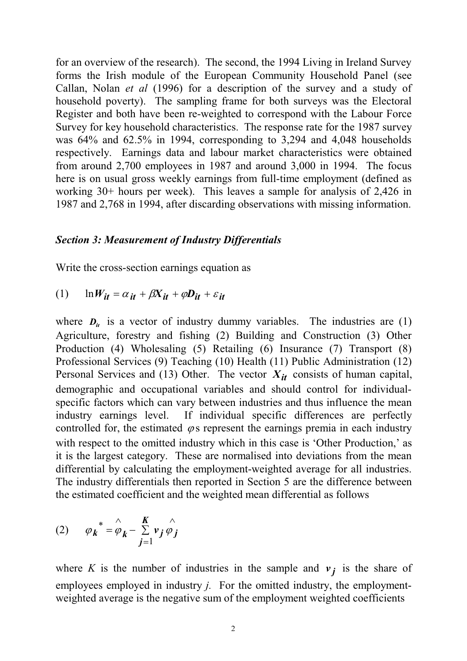for an overview of the research). The second, the 1994 Living in Ireland Survey forms the Irish module of the European Community Household Panel (see Callan, Nolan et al (1996) for a description of the survey and a study of household poverty). The sampling frame for both surveys was the Electoral Register and both have been re-weighted to correspond with the Labour Force Survey for key household characteristics. The response rate for the 1987 survey was 64% and 62.5% in 1994, corresponding to 3,294 and 4,048 households respectively. Earnings data and labour market characteristics were obtained from around 2,700 employees in 1987 and around 3,000 in 1994. The focus here is on usual gross weekly earnings from full-time employment (defined as working 30+ hours per week). This leaves a sample for analysis of 2,426 in 1987 and 2,768 in 1994, after discarding observations with missing information.

#### Section 3: Measurement of Industry Differentials

Write the cross-section earnings equation as

$$
(1) \qquad \ln W_{it} = \alpha_{it} + \beta X_{it} + \varphi D_{it} + \varepsilon_{it}
$$

where  $D_{ii}$  is a vector of industry dummy variables. The industries are (1) Agriculture, forestry and fishing (2) Building and Construction (3) Other Production (4) Wholesaling (5) Retailing (6) Insurance (7) Transport (8) Professional Services (9) Teaching (10) Health (11) Public Administration (12) Personal Services and (13) Other. The vector  $X_{it}$  consists of human capital, demographic and occupational variables and should control for individualspecific factors which can vary between industries and thus influence the mean industry earnings level. If individual specific differences are perfectly controlled for, the estimated  $\varphi$  s represent the earnings premia in each industry with respect to the omitted industry which in this case is 'Other Production,' as it is the largest category. These are normalised into deviations from the mean differential by calculating the employment-weighted average for all industries. The industry differentials then reported in Section 5 are the difference between the estimated coefficient and the weighted mean differential as follows

(2) 
$$
\varphi_k^* = \hat{\varphi}_k - \sum_{j=1}^K v_j \hat{\varphi}_j
$$

where K is the number of industries in the sample and  $v_i$  is the share of employees employed in industry *j*. For the omitted industry, the employmentweighted average is the negative sum of the employment weighted coefficients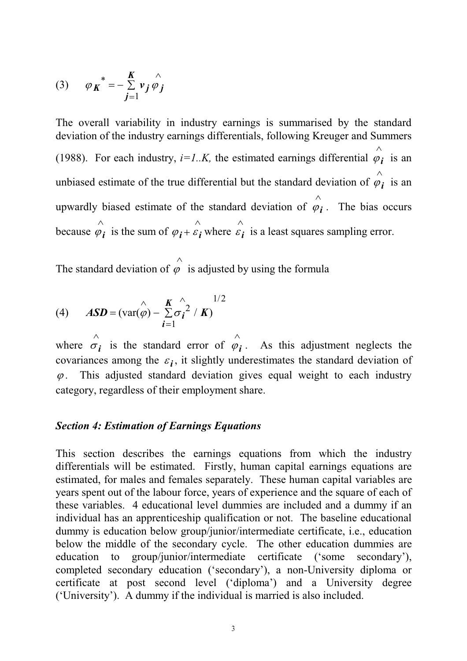(3) 
$$
\varphi_K^* = -\sum_{j=1}^K v_j \hat{\varphi}_j
$$

The overall variability in industry earnings is summarised by the standard deviation of the industry earnings differentials, following Kreuger and Summers (1988). For each industry,  $i=1..K$ , the estimated earnings differential  $\varphi_i$  is an  $\lambda$ unbiased estimate of the true differential but the standard deviation of  $\varphi_i$ Ù is an upwardly biased estimate of the standard deviation of  $\varphi_i$ Ù . The bias occurs because  $\varphi_{i}$ Ù is the sum of  $\varphi_i + \varepsilon_i$ Ù where  $\varepsilon_i$ Ù is a least squares sampling error.

The standard deviation of  $\varphi$  $\lambda$ is adjusted by using the formula

(4) 
$$
ASD = (\text{var}(\hat{\varphi}) - \sum_{i=1}^{K} \hat{\sigma_i}^2 / K)^{1/2}
$$

where  $\sigma_i$ is the standard error of  $\varphi_i$ Ù . As this adjustment neglects the covariances among the  $\varepsilon_i$ , it slightly underestimates the standard deviation of  $\varphi$ . This adjusted standard deviation gives equal weight to each industry category, regardless of their employment share.

### Section 4: Estimation of Earnings Equations

This section describes the earnings equations from which the industry differentials will be estimated. Firstly, human capital earnings equations are estimated, for males and females separately. These human capital variables are years spent out of the labour force, years of experience and the square of each of these variables. 4 educational level dummies are included and a dummy if an individual has an apprenticeship qualification or not. The baseline educational dummy is education below group/junior/intermediate certificate, i.e., education below the middle of the secondary cycle. The other education dummies are education to group/junior/intermediate certificate ('some secondary'), completed secondary education ('secondary'), a non-University diploma or certificate at post second level ('diploma') and a University degree (University). A dummy if the individual is married is also included.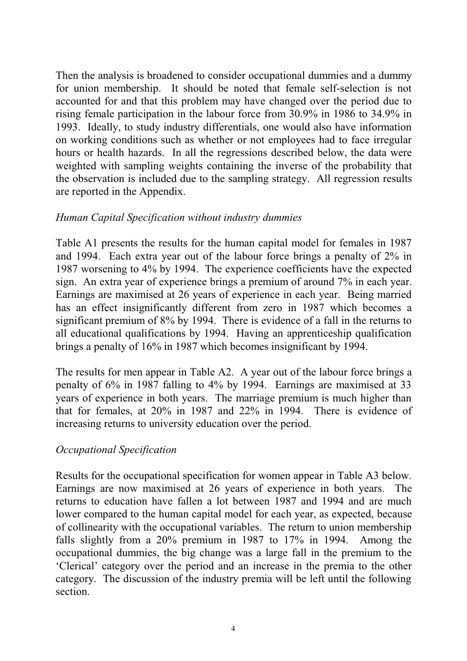Then the analysis is broadened to consider occupational dummies and a dummy for union membership. It should be noted that female self-selection is not accounted for and that this problem may have changed over the period due to rising female participation in the labour force from 30.9% in 1986 to 34.9% in 1993. Ideally, to study industry differentials, one would also have information on working conditions such as whether or not employees had to face irregular hours or health hazards. In all the regressions described below, the data were weighted with sampling weights containing the inverse of the probability that the observation is included due to the sampling strategy. All regression results are reported in the Appendix.

### Human Capital Specification without industry dummies

Table A1 presents the results for the human capital model for females in 1987 and 1994. Each extra year out of the labour force brings a penalty of 2% in 1987 worsening to 4% by 1994. The experience coefficients have the expected sign. An extra year of experience brings a premium of around 7% in each year. Earnings are maximised at 26 years of experience in each year. Being married has an effect insignificantly different from zero in 1987 which becomes a significant premium of 8% by 1994. There is evidence of a fall in the returns to all educational qualifications by 1994. Having an apprenticeship qualification brings a penalty of 16% in 1987 which becomes insignificant by 1994.

The results for men appear in Table A2. A year out of the labour force brings a penalty of 6% in 1987 falling to 4% by 1994. Earnings are maximised at 33 years of experience in both years. The marriage premium is much higher than that for females, at 20% in 1987 and 22% in 1994. There is evidence of increasing returns to university education over the period.

## Occupational Specification

Results for the occupational specification for women appear in Table A3 below. Earnings are now maximised at 26 years of experience in both years. The returns to education have fallen a lot between 1987 and 1994 and are much lower compared to the human capital model for each year, as expected, because of collinearity with the occupational variables. The return to union membership falls slightly from a 20% premium in 1987 to 17% in 1994. Among the occupational dummies, the big change was a large fall in the premium to the Clerical' category over the period and an increase in the premia to the other category. The discussion of the industry premia will be left until the following section.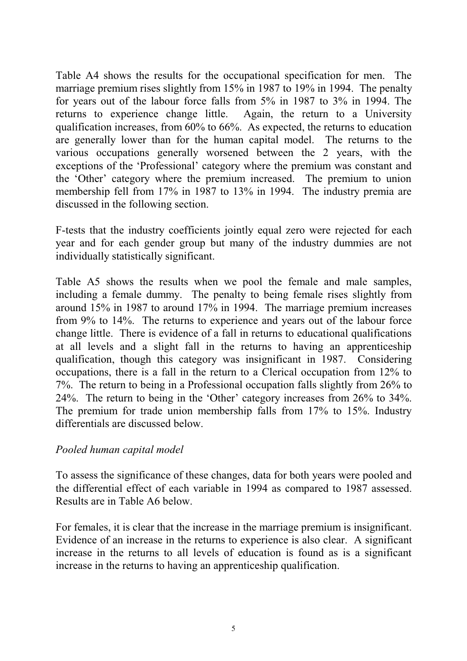Table A4 shows the results for the occupational specification for men. The marriage premium rises slightly from 15% in 1987 to 19% in 1994. The penalty for years out of the labour force falls from 5% in 1987 to 3% in 1994. The returns to experience change little. Again, the return to a University qualification increases, from 60% to 66%. As expected, the returns to education are generally lower than for the human capital model. The returns to the various occupations generally worsened between the 2 years, with the exceptions of the 'Professional' category where the premium was constant and the 'Other' category where the premium increased. The premium to union membership fell from 17% in 1987 to 13% in 1994. The industry premia are discussed in the following section.

F-tests that the industry coefficients jointly equal zero were rejected for each year and for each gender group but many of the industry dummies are not individually statistically significant.

Table A5 shows the results when we pool the female and male samples, including a female dummy. The penalty to being female rises slightly from around 15% in 1987 to around 17% in 1994. The marriage premium increases from 9% to 14%. The returns to experience and years out of the labour force change little. There is evidence of a fall in returns to educational qualifications at all levels and a slight fall in the returns to having an apprenticeship qualification, though this category was insignificant in 1987. Considering occupations, there is a fall in the return to a Clerical occupation from 12% to 7%. The return to being in a Professional occupation falls slightly from 26% to 24%. The return to being in the 'Other' category increases from 26% to 34%. The premium for trade union membership falls from 17% to 15%. Industry differentials are discussed below.

### Pooled human capital model

To assess the significance of these changes, data for both years were pooled and the differential effect of each variable in 1994 as compared to 1987 assessed. Results are in Table A6 below.

For females, it is clear that the increase in the marriage premium is insignificant. Evidence of an increase in the returns to experience is also clear. A significant increase in the returns to all levels of education is found as is a significant increase in the returns to having an apprenticeship qualification.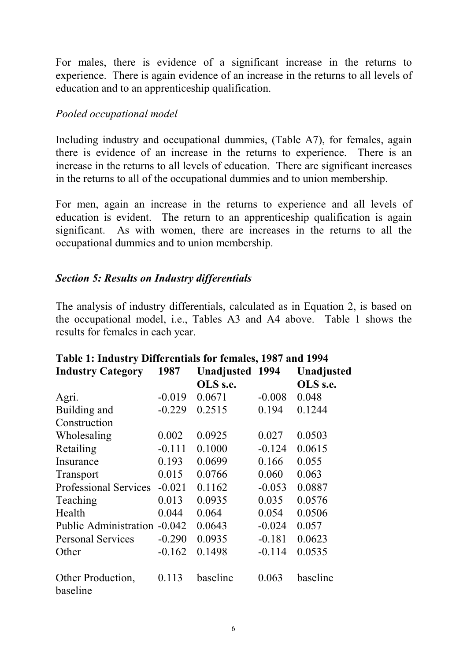For males, there is evidence of a significant increase in the returns to experience. There is again evidence of an increase in the returns to all levels of education and to an apprenticeship qualification.

### Pooled occupational model

Including industry and occupational dummies, (Table A7), for females, again there is evidence of an increase in the returns to experience. There is an increase in the returns to all levels of education. There are significant increases in the returns to all of the occupational dummies and to union membership.

For men, again an increase in the returns to experience and all levels of education is evident. The return to an apprenticeship qualification is again significant. As with women, there are increases in the returns to all the occupational dummies and to union membership.

## Section 5: Results on Industry differentials

The analysis of industry differentials, calculated as in Equation 2, is based on the occupational model, i.e., Tables A3 and A4 above. Table 1 shows the results for females in each year.

| Tably 1. Highstry Dhittitudis for itmalys, 1707 and 1774 |                                |          |          |            |  |  |  |  |
|----------------------------------------------------------|--------------------------------|----------|----------|------------|--|--|--|--|
| <b>Industry Category</b>                                 | 1987<br><b>Unadjusted 1994</b> |          |          | Unadjusted |  |  |  |  |
|                                                          |                                | OLS s.e. |          | OLS s.e.   |  |  |  |  |
| Agri.                                                    | $-0.019$                       | 0.0671   | $-0.008$ | 0.048      |  |  |  |  |
| Building and                                             | $-0.229$                       | 0.2515   | 0.194    | 0.1244     |  |  |  |  |
| Construction                                             |                                |          |          |            |  |  |  |  |
| Wholesaling                                              | 0.002                          | 0.0925   | 0.027    | 0.0503     |  |  |  |  |
| Retailing                                                | $-0.111$                       | 0.1000   | $-0.124$ | 0.0615     |  |  |  |  |
| Insurance                                                | 0.193                          | 0.0699   | 0.166    | 0.055      |  |  |  |  |
| Transport                                                | 0.015                          | 0.0766   | 0.060    | 0.063      |  |  |  |  |
| <b>Professional Services</b>                             | $-0.021$                       | 0.1162   | $-0.053$ | 0.0887     |  |  |  |  |
| Teaching                                                 | 0.013                          | 0.0935   | 0.035    | 0.0576     |  |  |  |  |
| Health                                                   | 0.044                          | 0.064    | 0.054    | 0.0506     |  |  |  |  |
| Public Administration -0.042                             |                                | 0.0643   | $-0.024$ | 0.057      |  |  |  |  |
| <b>Personal Services</b>                                 | $-0.290$                       | 0.0935   | $-0.181$ | 0.0623     |  |  |  |  |
| Other                                                    | $-0.162$                       | 0.1498   | $-0.114$ | 0.0535     |  |  |  |  |
| Other Production,<br>baseline                            | 0.113                          | baseline | 0.063    | baseline   |  |  |  |  |

## Table 1: Industry Differentials for females, 1987 and 1994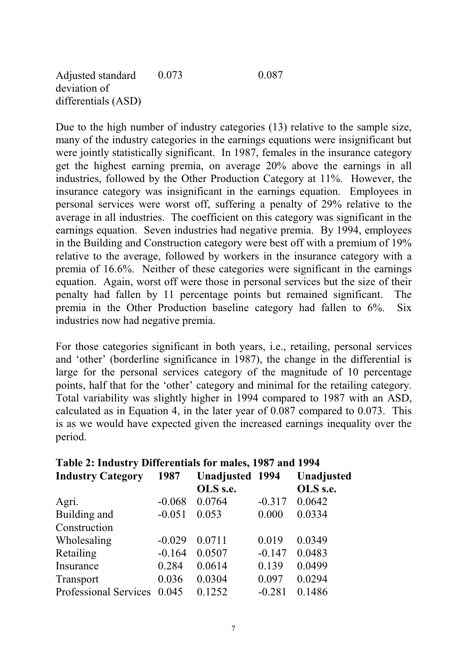Due to the high number of industry categories (13) relative to the sample size, many of the industry categories in the earnings equations were insignificant but were jointly statistically significant. In 1987, females in the insurance category get the highest earning premia, on average 20% above the earnings in all industries, followed by the Other Production Category at 11%. However, the insurance category was insignificant in the earnings equation. Employees in personal services were worst off, suffering a penalty of 29% relative to the average in all industries. The coefficient on this category was significant in the earnings equation. Seven industries had negative premia. By 1994, employees in the Building and Construction category were best off with a premium of 19% relative to the average, followed by workers in the insurance category with a premia of 16.6%. Neither of these categories were significant in the earnings equation. Again, worst off were those in personal services but the size of their penalty had fallen by 11 percentage points but remained significant. The premia in the Other Production baseline category had fallen to 6%. Six industries now had negative premia.

For those categories significant in both years, i.e., retailing, personal services and 'other' (borderline significance in 1987), the change in the differential is large for the personal services category of the magnitude of 10 percentage points, half that for the 'other' category and minimal for the retailing category. Total variability was slightly higher in 1994 compared to 1987 with an ASD, calculated as in Equation 4, in the later year of 0.087 compared to 0.073. This is as we would have expected given the increased earnings inequality over the period.

| Table 2: Higustry Differentials for males, 1987 and 1994 |          |                        |          |            |  |  |  |  |
|----------------------------------------------------------|----------|------------------------|----------|------------|--|--|--|--|
| <b>Industry Category</b>                                 | 1987     | <b>Unadjusted 1994</b> |          | Unadjusted |  |  |  |  |
|                                                          |          | OLS s.e.               |          | OLS s.e.   |  |  |  |  |
| Agri.                                                    | $-0.068$ | 0.0764                 | $-0.317$ | 0.0642     |  |  |  |  |
| Building and                                             | $-0.051$ | 0.053                  | 0.000    | 0.0334     |  |  |  |  |
| Construction                                             |          |                        |          |            |  |  |  |  |
| Wholesaling                                              | $-0.029$ | 0.0711                 | 0.019    | 0.0349     |  |  |  |  |
| Retailing                                                | $-0.164$ | 0.0507                 | $-0.147$ | 0.0483     |  |  |  |  |
| Insurance                                                | 0.284    | 0.0614                 | 0.139    | 0.0499     |  |  |  |  |
| Transport                                                | 0.036    | 0.0304                 | 0.097    | 0.0294     |  |  |  |  |
| <b>Professional Services</b>                             | 0.045    | 0.1252                 | $-0.281$ | 0.1486     |  |  |  |  |

## ndustry Differentials for males, 1097 and 1004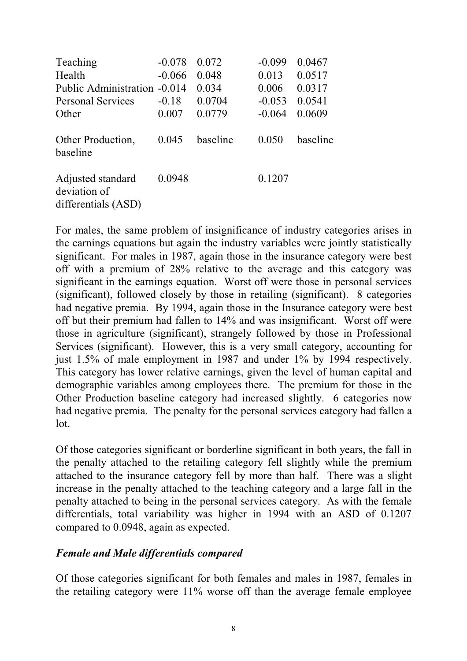| Teaching<br>Health<br>Public Administration -0.014       | $-0.078$<br>$-0.066$ | 0.072<br>0.048<br>0.034 | $-0.099$<br>0.013<br>0.006 | 0.0467<br>0.0517<br>0.0317 |
|----------------------------------------------------------|----------------------|-------------------------|----------------------------|----------------------------|
| <b>Personal Services</b>                                 | $-0.18$              | 0.0704                  | $-0.053$                   | 0.0541                     |
| Other                                                    | 0.007                | 0.0779                  | $-0.064$                   | 0.0609                     |
| Other Production,<br>baseline                            | 0.045                | baseline                | 0.050                      | baseline                   |
| Adjusted standard<br>deviation of<br>differentials (ASD) | 0.0948               |                         | 0.1207                     |                            |

For males, the same problem of insignificance of industry categories arises in the earnings equations but again the industry variables were jointly statistically significant. For males in 1987, again those in the insurance category were best off with a premium of 28% relative to the average and this category was significant in the earnings equation. Worst off were those in personal services (significant), followed closely by those in retailing (significant). 8 categories had negative premia. By 1994, again those in the Insurance category were best off but their premium had fallen to 14% and was insignificant. Worst off were those in agriculture (significant), strangely followed by those in Professional Services (significant). However, this is a very small category, accounting for just 1.5% of male employment in 1987 and under 1% by 1994 respectively. This category has lower relative earnings, given the level of human capital and demographic variables among employees there. The premium for those in the Other Production baseline category had increased slightly. 6 categories now had negative premia. The penalty for the personal services category had fallen a lot.

Of those categories significant or borderline significant in both years, the fall in the penalty attached to the retailing category fell slightly while the premium attached to the insurance category fell by more than half. There was a slight increase in the penalty attached to the teaching category and a large fall in the penalty attached to being in the personal services category. As with the female differentials, total variability was higher in 1994 with an ASD of 0.1207 compared to 0.0948, again as expected.

### Female and Male differentials compared

Of those categories significant for both females and males in 1987, females in the retailing category were 11% worse off than the average female employee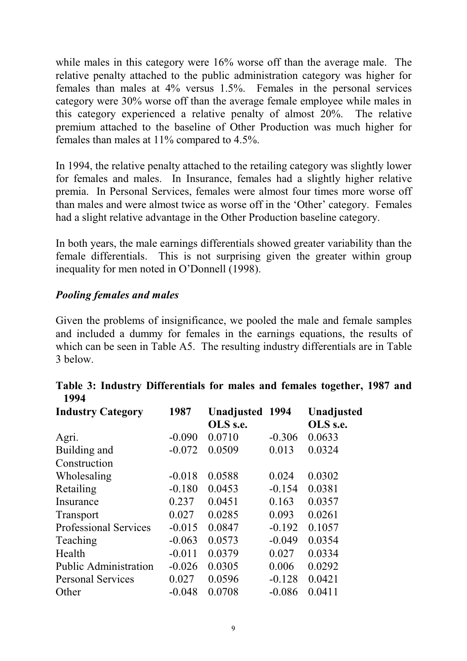while males in this category were  $16\%$  worse off than the average male. The relative penalty attached to the public administration category was higher for females than males at 4% versus 1.5%. Females in the personal services category were 30% worse off than the average female employee while males in this category experienced a relative penalty of almost 20%. The relative premium attached to the baseline of Other Production was much higher for females than males at 11% compared to 4.5%.

In 1994, the relative penalty attached to the retailing category was slightly lower for females and males. In Insurance, females had a slightly higher relative premia. In Personal Services, females were almost four times more worse off than males and were almost twice as worse off in the 'Other' category. Females had a slight relative advantage in the Other Production baseline category.

In both years, the male earnings differentials showed greater variability than the female differentials. This is not surprising given the greater within group inequality for men noted in O'Donnell (1998).

## Pooling females and males

Given the problems of insignificance, we pooled the male and female samples and included a dummy for females in the earnings equations, the results of which can be seen in Table A5. The resulting industry differentials are in Table 3 below.

|      | Table 3: Industry Differentials for males and females together, 1987 and |  |  |  |  |
|------|--------------------------------------------------------------------------|--|--|--|--|
| 1994 |                                                                          |  |  |  |  |

| <b>Industry Category</b>     | 1987     | <b>Unadjusted 1994</b> |          | <b>Unadjusted</b> |
|------------------------------|----------|------------------------|----------|-------------------|
|                              |          | OLS s.e.               |          | OLS s.e.          |
| Agri.                        | $-0.090$ | 0.0710                 | $-0.306$ | 0.0633            |
| Building and                 | $-0.072$ | 0.0509                 | 0.013    | 0.0324            |
| Construction                 |          |                        |          |                   |
| Wholesaling                  | $-0.018$ | 0.0588                 | 0.024    | 0.0302            |
| Retailing                    | $-0.180$ | 0.0453                 | $-0.154$ | 0.0381            |
| Insurance                    | 0.237    | 0.0451                 | 0.163    | 0.0357            |
| Transport                    | 0.027    | 0.0285                 | 0.093    | 0.0261            |
| <b>Professional Services</b> | $-0.015$ | 0.0847                 | $-0.192$ | 0.1057            |
| Teaching                     | $-0.063$ | 0.0573                 | $-0.049$ | 0.0354            |
| Health                       | $-0.011$ | 0.0379                 | 0.027    | 0.0334            |
| <b>Public Administration</b> | $-0.026$ | 0.0305                 | 0.006    | 0.0292            |
| <b>Personal Services</b>     | 0.027    | 0.0596                 | $-0.128$ | 0.0421            |
| Other                        | $-0.048$ | 0.0708                 | $-0.086$ | 0.0411            |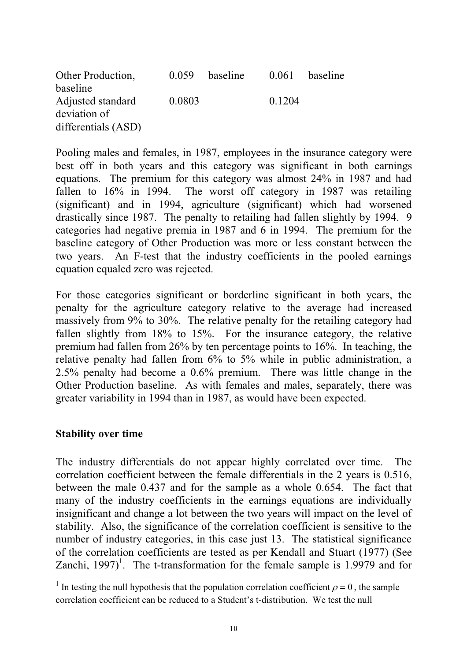| Other Production,   | 0.059  | baseline | 0.061  | baseline |
|---------------------|--------|----------|--------|----------|
| baseline            |        |          |        |          |
| Adjusted standard   | 0.0803 |          | 0.1204 |          |
| deviation of        |        |          |        |          |
| differentials (ASD) |        |          |        |          |

Pooling males and females, in 1987, employees in the insurance category were best off in both years and this category was significant in both earnings equations. The premium for this category was almost 24% in 1987 and had fallen to 16% in 1994. The worst off category in 1987 was retailing (significant) and in 1994, agriculture (significant) which had worsened drastically since 1987. The penalty to retailing had fallen slightly by 1994. 9 categories had negative premia in 1987 and 6 in 1994. The premium for the baseline category of Other Production was more or less constant between the two years. An F-test that the industry coefficients in the pooled earnings equation equaled zero was rejected.

For those categories significant or borderline significant in both years, the penalty for the agriculture category relative to the average had increased massively from 9% to 30%. The relative penalty for the retailing category had fallen slightly from 18% to 15%. For the insurance category, the relative premium had fallen from 26% by ten percentage points to 16%. In teaching, the relative penalty had fallen from 6% to 5% while in public administration, a 2.5% penalty had become a 0.6% premium. There was little change in the Other Production baseline. As with females and males, separately, there was greater variability in 1994 than in 1987, as would have been expected.

### Stability over time

The industry differentials do not appear highly correlated over time. The correlation coefficient between the female differentials in the 2 years is 0.516, between the male 0.437 and for the sample as a whole 0.654. The fact that many of the industry coefficients in the earnings equations are individually insignificant and change a lot between the two years will impact on the level of stability. Also, the significance of the correlation coefficient is sensitive to the number of industry categories, in this case just 13. The statistical significance of the correlation coefficients are tested as per Kendall and Stuart (1977) (See Zanchi, 1997)<sup>1</sup>. The t-transformation for the female sample is 1.9979 and for

<sup>&</sup>lt;sup>1</sup> In testing the null hypothesis that the population correlation coefficient  $\rho = 0$ , the sample correlation coefficient can be reduced to a Student's t-distribution. We test the null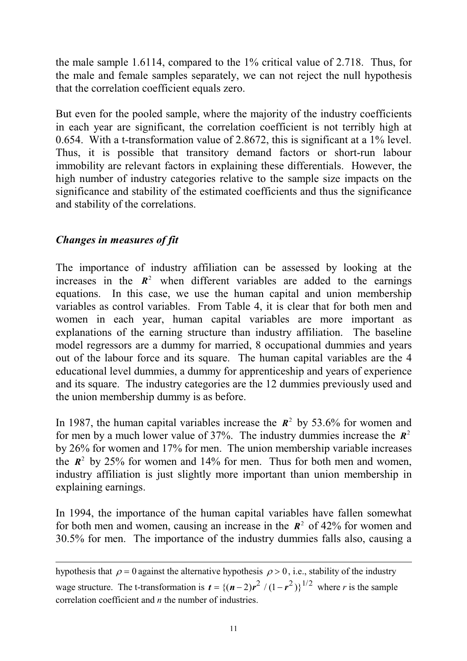the male sample 1.6114, compared to the 1% critical value of 2.718. Thus, for the male and female samples separately, we can not reject the null hypothesis that the correlation coefficient equals zero.

But even for the pooled sample, where the majority of the industry coefficients in each year are significant, the correlation coefficient is not terribly high at 0.654. With a t-transformation value of 2.8672, this is significant at a 1% level. Thus, it is possible that transitory demand factors or short-run labour immobility are relevant factors in explaining these differentials. However, the high number of industry categories relative to the sample size impacts on the significance and stability of the estimated coefficients and thus the significance and stability of the correlations.

## Changes in measures of fit

The importance of industry affiliation can be assessed by looking at the increases in the  $R^2$  when different variables are added to the earnings equations. In this case, we use the human capital and union membership variables as control variables. From Table 4, it is clear that for both men and women in each year, human capital variables are more important as explanations of the earning structure than industry affiliation. The baseline model regressors are a dummy for married, 8 occupational dummies and years out of the labour force and its square. The human capital variables are the 4 educational level dummies, a dummy for apprenticeship and years of experience and its square. The industry categories are the 12 dummies previously used and the union membership dummy is as before.

In 1987, the human capital variables increase the  $\mathbb{R}^2$  by 53.6% for women and for men by a much lower value of 37%. The industry dummies increase the  $\mathbb{R}^2$ by 26% for women and 17% for men. The union membership variable increases the  $\mathbb{R}^2$  by 25% for women and 14% for men. Thus for both men and women, industry affiliation is just slightly more important than union membership in explaining earnings.

In 1994, the importance of the human capital variables have fallen somewhat for both men and women, causing an increase in the  $\mathbb{R}^2$  of 42% for women and 30.5% for men. The importance of the industry dummies falls also, causing a

hypothesis that  $\rho = 0$  against the alternative hypothesis  $\rho > 0$ , i.e., stability of the industry wage structure. The t-transformation is  $t = \{(n-2)r^2 / (1 - r^2)\}^{1/2}$  where r is the sample correlation coefficient and  $n$  the number of industries.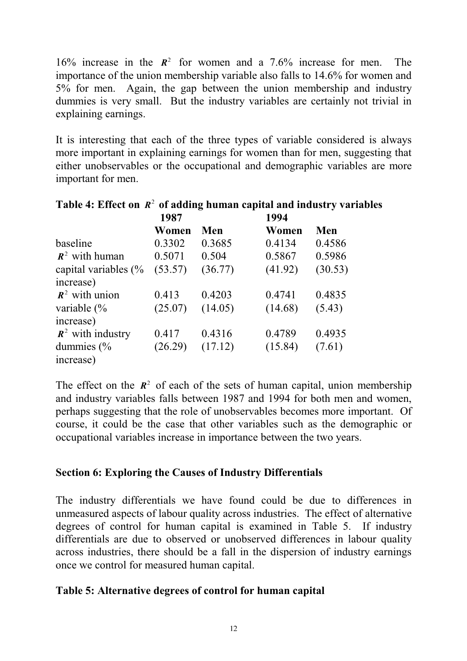16% increase in the  $R^2$  for women and a 7.6% increase for men. The importance of the union membership variable also falls to 14.6% for women and 5% for men. Again, the gap between the union membership and industry dummies is very small. But the industry variables are certainly not trivial in explaining earnings.

It is interesting that each of the three types of variable considered is always more important in explaining earnings for women than for men, suggesting that either unobservables or the occupational and demographic variables are more important for men.

|                                 | 1987    |         | 1994    |         |
|---------------------------------|---------|---------|---------|---------|
|                                 | Women   | Men     | Women   | Men     |
| baseline                        | 0.3302  | 0.3685  | 0.4134  | 0.4586  |
| $\mathbb{R}^2$ with human       | 0.5071  | 0.504   | 0.5867  | 0.5986  |
| capital variables $\frac{6}{6}$ | (53.57) | (36.77) | (41.92) | (30.53) |
| increase)                       |         |         |         |         |
| $\mathbf{R}^2$ with union       | 0.413   | 0.4203  | 0.4741  | 0.4835  |
| variable $\frac{6}{6}$          | (25.07) | (14.05) | (14.68) | (5.43)  |
| increase)                       |         |         |         |         |
| $\mathbf{R}^2$ with industry    | 0.417   | 0.4316  | 0.4789  | 0.4935  |
| dummies $\frac{6}{6}$           | (26.29) | (17.12) | (15.84) | (7.61)  |
| increase)                       |         |         |         |         |

# Table 4: Effect on  $R^2$  of adding human capital and industry variables

The effect on the  $\mathbb{R}^2$  of each of the sets of human capital, union membership and industry variables falls between 1987 and 1994 for both men and women, perhaps suggesting that the role of unobservables becomes more important. Of course, it could be the case that other variables such as the demographic or occupational variables increase in importance between the two years.

### Section 6: Exploring the Causes of Industry Differentials

The industry differentials we have found could be due to differences in unmeasured aspects of labour quality across industries. The effect of alternative degrees of control for human capital is examined in Table 5. If industry differentials are due to observed or unobserved differences in labour quality across industries, there should be a fall in the dispersion of industry earnings once we control for measured human capital.

### Table 5: Alternative degrees of control for human capital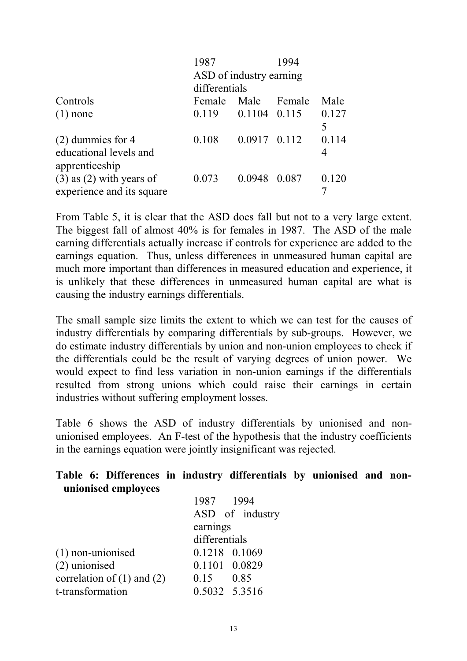|                              | 1987          |                         | 1994   |       |
|------------------------------|---------------|-------------------------|--------|-------|
|                              |               | ASD of industry earning |        |       |
|                              | differentials |                         |        |       |
| Controls                     | Female        | Male                    | Female | Male  |
| $(1)$ none                   | 0.119         | $0.1104$ $0.115$        |        | 0.127 |
|                              |               |                         |        | 5     |
| $(2)$ dummies for 4          | 0.108         | 0.0917 0.112            |        | 0.114 |
| educational levels and       |               |                         |        | 4     |
| apprenticeship               |               |                         |        |       |
| $(3)$ as $(2)$ with years of | 0.073         | 0.0948 0.087            |        | 0.120 |
| experience and its square    |               |                         |        |       |

From Table 5, it is clear that the ASD does fall but not to a very large extent. The biggest fall of almost 40% is for females in 1987. The ASD of the male earning differentials actually increase if controls for experience are added to the earnings equation. Thus, unless differences in unmeasured human capital are much more important than differences in measured education and experience, it is unlikely that these differences in unmeasured human capital are what is causing the industry earnings differentials.

The small sample size limits the extent to which we can test for the causes of industry differentials by comparing differentials by sub-groups. However, we do estimate industry differentials by union and non-union employees to check if the differentials could be the result of varying degrees of union power. We would expect to find less variation in non-union earnings if the differentials resulted from strong unions which could raise their earnings in certain industries without suffering employment losses.

Table 6 shows the ASD of industry differentials by unionised and nonunionised employees. An F-test of the hypothesis that the industry coefficients in the earnings equation were jointly insignificant was rejected.

|  |                     |  | Table 6: Differences in industry differentials by unionised and non- |  |  |
|--|---------------------|--|----------------------------------------------------------------------|--|--|
|  | unionised employees |  |                                                                      |  |  |

| earnings      |  |                                                                                                |  |
|---------------|--|------------------------------------------------------------------------------------------------|--|
| differentials |  |                                                                                                |  |
|               |  |                                                                                                |  |
|               |  |                                                                                                |  |
|               |  |                                                                                                |  |
|               |  |                                                                                                |  |
|               |  | 1987 1994<br>ASD of industry<br>0.1218 0.1069<br>0.1101 0.0829<br>$0.15$ 0.85<br>0.5032 5.3516 |  |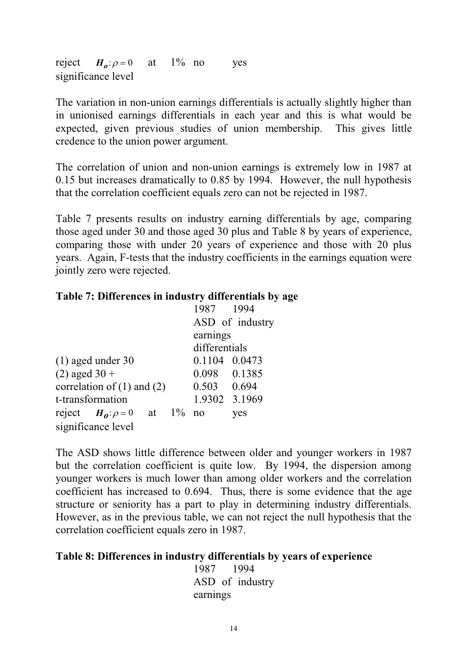reject  $H_0: \rho = 0$  at 1% no significance level no yes

The variation in non-union earnings differentials is actually slightly higher than in unionised earnings differentials in each year and this is what would be expected, given previous studies of union membership. This gives little credence to the union power argument.

The correlation of union and non-union earnings is extremely low in 1987 at 0.15 but increases dramatically to 0.85 by 1994. However, the null hypothesis that the correlation coefficient equals zero can not be rejected in 1987.

Table 7 presents results on industry earning differentials by age, comparing those aged under 30 and those aged 30 plus and Table 8 by years of experience, comparing those with under 20 years of experience and those with 20 plus years. Again, F-tests that the industry coefficients in the earnings equation were jointly zero were rejected.

### Table 7: Differences in industry differentials by age

|                                       | 1987 1994       |
|---------------------------------------|-----------------|
|                                       | ASD of industry |
|                                       | earnings        |
|                                       | differentials   |
| $(1)$ aged under 30                   | 0.1104 0.0473   |
| $(2)$ aged 30 +                       | 0.098 0.1385    |
| correlation of $(1)$ and $(2)$        | $0.503$ 0.694   |
| t-transformation                      | 1.9302 3.1969   |
| at $1\%$ no<br>reject $H_0: \rho = 0$ | yes             |
| significance level                    |                 |

The ASD shows little difference between older and younger workers in 1987 but the correlation coefficient is quite low. By 1994, the dispersion among younger workers is much lower than among older workers and the correlation coefficient has increased to 0.694. Thus, there is some evidence that the age structure or seniority has a part to play in determining industry differentials. However, as in the previous table, we can not reject the null hypothesis that the correlation coefficient equals zero in 1987.

### Table 8: Differences in industry differentials by years of experience

1987 1994 ASD of industry earnings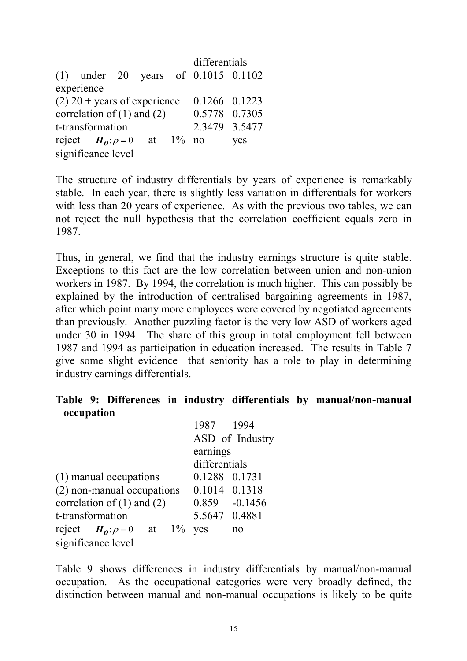|                                                 |                                 |  |  |  | differentials                           |     |  |  |
|-------------------------------------------------|---------------------------------|--|--|--|-----------------------------------------|-----|--|--|
|                                                 |                                 |  |  |  | (1) under 20 years of $0.1015$ $0.1102$ |     |  |  |
|                                                 | experience                      |  |  |  |                                         |     |  |  |
| $(2)$ 20 + years of experience<br>0.1266 0.1223 |                                 |  |  |  |                                         |     |  |  |
|                                                 | correlation of $(1)$ and $(2)$  |  |  |  | 0.5778 0.7305                           |     |  |  |
|                                                 | t-transformation                |  |  |  | 2.3479 3.5477                           |     |  |  |
|                                                 | reject $H_0: \rho = 0$ at 1% no |  |  |  |                                         | yes |  |  |
| significance level                              |                                 |  |  |  |                                         |     |  |  |

The structure of industry differentials by years of experience is remarkably stable. In each year, there is slightly less variation in differentials for workers with less than 20 years of experience. As with the previous two tables, we can not reject the null hypothesis that the correlation coefficient equals zero in 1987.

Thus, in general, we find that the industry earnings structure is quite stable. Exceptions to this fact are the low correlation between union and non-union workers in 1987. By 1994, the correlation is much higher. This can possibly be explained by the introduction of centralised bargaining agreements in 1987, after which point many more employees were covered by negotiated agreements than previously. Another puzzling factor is the very low ASD of workers aged under 30 in 1994. The share of this group in total employment fell between 1987 and 1994 as participation in education increased. The results in Table 7 give some slight evidence that seniority has a role to play in determining industry earnings differentials.

### Table 9: Differences in industry differentials by manual/non-manual occupation

|                                       | 1987 1994        |  |  |  |  |
|---------------------------------------|------------------|--|--|--|--|
|                                       | ASD of Industry  |  |  |  |  |
|                                       | earnings         |  |  |  |  |
|                                       | differentials    |  |  |  |  |
| (1) manual occupations                | 0.1288 0.1731    |  |  |  |  |
| (2) non-manual occupations            | 0.1014 0.1318    |  |  |  |  |
| correlation of $(1)$ and $(2)$        | $0.859 - 0.1456$ |  |  |  |  |
| t-transformation                      | 5.5647 0.4881    |  |  |  |  |
| $1\%$<br>reject $H_0: \rho = 0$<br>at | yes<br>no        |  |  |  |  |
| significance level                    |                  |  |  |  |  |

Table 9 shows differences in industry differentials by manual/non-manual occupation. As the occupational categories were very broadly defined, the distinction between manual and non-manual occupations is likely to be quite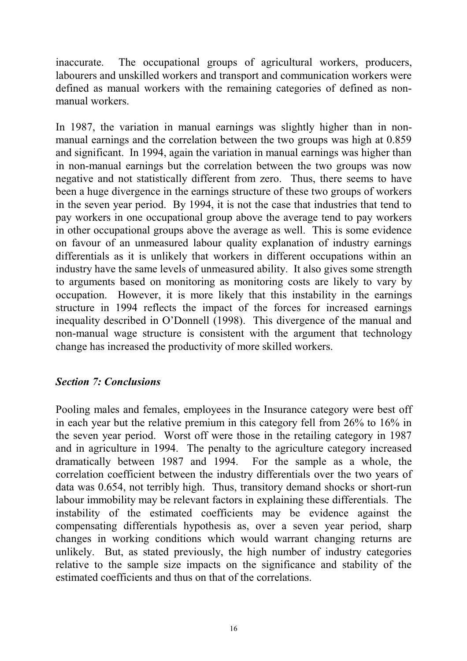inaccurate. The occupational groups of agricultural workers, producers, labourers and unskilled workers and transport and communication workers were defined as manual workers with the remaining categories of defined as nonmanual workers.

In 1987, the variation in manual earnings was slightly higher than in nonmanual earnings and the correlation between the two groups was high at 0.859 and significant. In 1994, again the variation in manual earnings was higher than in non-manual earnings but the correlation between the two groups was now negative and not statistically different from zero. Thus, there seems to have been a huge divergence in the earnings structure of these two groups of workers in the seven year period. By 1994, it is not the case that industries that tend to pay workers in one occupational group above the average tend to pay workers in other occupational groups above the average as well. This is some evidence on favour of an unmeasured labour quality explanation of industry earnings differentials as it is unlikely that workers in different occupations within an industry have the same levels of unmeasured ability. It also gives some strength to arguments based on monitoring as monitoring costs are likely to vary by occupation. However, it is more likely that this instability in the earnings structure in 1994 reflects the impact of the forces for increased earnings inequality described in O'Donnell (1998). This divergence of the manual and non-manual wage structure is consistent with the argument that technology change has increased the productivity of more skilled workers.

### Section 7: Conclusions

Pooling males and females, employees in the Insurance category were best off in each year but the relative premium in this category fell from 26% to 16% in the seven year period. Worst off were those in the retailing category in 1987 and in agriculture in 1994. The penalty to the agriculture category increased dramatically between 1987 and 1994. For the sample as a whole, the correlation coefficient between the industry differentials over the two years of data was 0.654, not terribly high. Thus, transitory demand shocks or short-run labour immobility may be relevant factors in explaining these differentials. The instability of the estimated coefficients may be evidence against the compensating differentials hypothesis as, over a seven year period, sharp changes in working conditions which would warrant changing returns are unlikely. But, as stated previously, the high number of industry categories relative to the sample size impacts on the significance and stability of the estimated coefficients and thus on that of the correlations.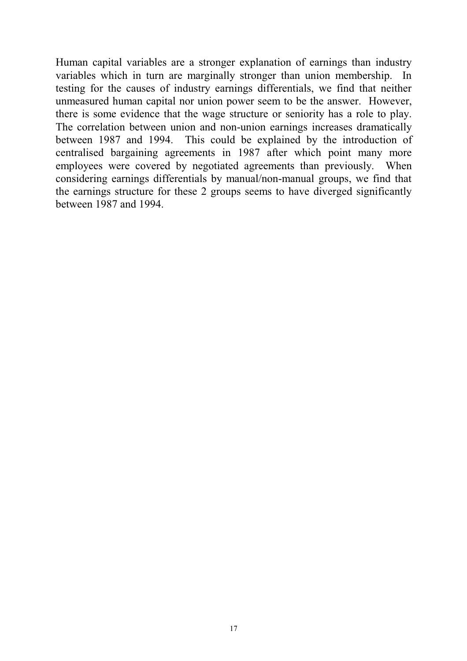Human capital variables are a stronger explanation of earnings than industry variables which in turn are marginally stronger than union membership. In testing for the causes of industry earnings differentials, we find that neither unmeasured human capital nor union power seem to be the answer. However, there is some evidence that the wage structure or seniority has a role to play. The correlation between union and non-union earnings increases dramatically between 1987 and 1994. This could be explained by the introduction of centralised bargaining agreements in 1987 after which point many more employees were covered by negotiated agreements than previously. When considering earnings differentials by manual/non-manual groups, we find that the earnings structure for these 2 groups seems to have diverged significantly between 1987 and 1994.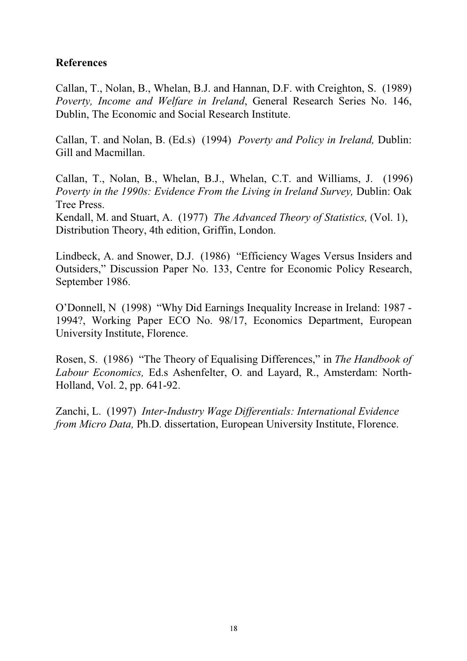### References

Callan, T., Nolan, B., Whelan, B.J. and Hannan, D.F. with Creighton, S. (1989) Poverty, Income and Welfare in Ireland, General Research Series No. 146, Dublin, The Economic and Social Research Institute.

Callan, T. and Nolan, B. (Ed.s) (1994) Poverty and Policy in Ireland, Dublin: Gill and Macmillan.

Callan, T., Nolan, B., Whelan, B.J., Whelan, C.T. and Williams, J. (1996) Poverty in the 1990s: Evidence From the Living in Ireland Survey, Dublin: Oak Tree Press.

Kendall, M. and Stuart, A. (1977) The Advanced Theory of Statistics, (Vol. 1), Distribution Theory, 4th edition, Griffin, London.

Lindbeck, A. and Snower, D.J. (1986) "Efficiency Wages Versus Insiders and Outsiders," Discussion Paper No. 133, Centre for Economic Policy Research, September 1986.

O'Donnell, N (1998) "Why Did Earnings Inequality Increase in Ireland: 1987 -1994?, Working Paper ECO No. 98/17, Economics Department, European University Institute, Florence.

Rosen, S. (1986) "The Theory of Equalising Differences," in The Handbook of Labour Economics, Ed.s Ashenfelter, O. and Layard, R., Amsterdam: North-Holland, Vol. 2, pp. 641-92.

Zanchi, L. (1997) Inter-Industry Wage Differentials: International Evidence from Micro Data, Ph.D. dissertation, European University Institute, Florence.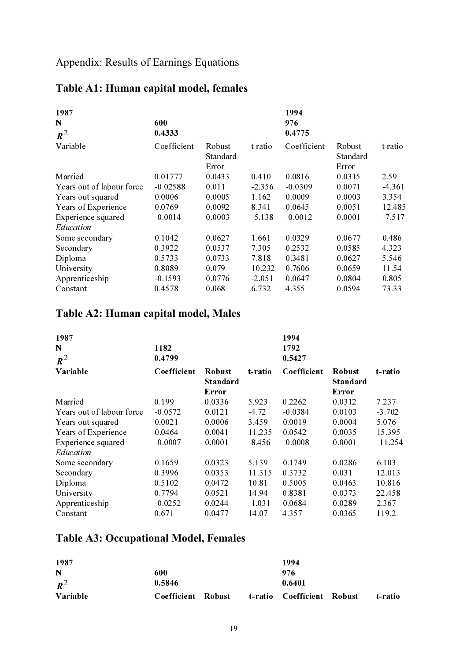## Appendix: Results of Earnings Equations

| 1987                      |             |                             |          | 1994        |                                     |          |
|---------------------------|-------------|-----------------------------|----------|-------------|-------------------------------------|----------|
| N                         | 600         |                             |          | 976         |                                     |          |
| $R^2$                     | 0.4333      |                             |          | 0.4775      |                                     |          |
| Variable                  | Coefficient | Robust<br>Standard<br>Error | t-ratio  | Coefficient | <b>R</b> obust<br>Standard<br>Error | t-ratio  |
| Married                   | 0.01777     | 0.0433                      | 0.410    | 0.0816      | 0.0315                              | 2.59     |
| Years out of labour force | $-0.02588$  | 0.011                       | $-2.356$ | $-0.0309$   | 0.0071                              | $-4.361$ |
| Years out squared         | 0.0006      | 0.0005                      | 1.162    | 0.0009      | 0.0003                              | 3.354    |
| Years of Experience       | 0.0769      | 0.0092                      | 8.341    | 0.0645      | 0.0051                              | 12.485   |
| Experience squared        | $-0.0014$   | 0.0003                      | $-5.138$ | $-0.0012$   | 0.0001                              | $-7.517$ |
| Education                 |             |                             |          |             |                                     |          |
| Some secondary            | 0.1042      | 0.0627                      | 1.661    | 0.0329      | 0.0677                              | 0.486    |
| Secondary                 | 0.3922      | 0.0537                      | 7.305    | 0.2532      | 0.0585                              | 4.323    |
| Diploma                   | 0.5733      | 0.0733                      | 7.818    | 0.3481      | 0.0627                              | 5.546    |
| University                | 0.8089      | 0.079                       | 10.232   | 0.7606      | 0.0659                              | 11.54    |
| Apprenticeship            | $-0.1593$   | 0.0776                      | $-2.051$ | 0.0647      | 0.0804                              | 0.805    |
| Constant                  | 0.4578      | 0.068                       | 6.732    | 4.355       | 0.0594                              | 73.33    |

# Table A1: Human capital model, females

## Table A2: Human capital model, Males

| 1987                      |             |                                           |          | 1994        |                                           |          |
|---------------------------|-------------|-------------------------------------------|----------|-------------|-------------------------------------------|----------|
| N                         | 1182        |                                           |          | 1792        |                                           |          |
| $\mathbf{R}^2$            | 0.4799      |                                           |          | 0.5427      |                                           |          |
| Variable                  | Coefficient | <b>Robust</b><br><b>Standard</b><br>Error | t-ratio  | Coefficient | <b>Robust</b><br><b>Standard</b><br>Error | t-ratio  |
| Married                   | 0.199       | 0.0336                                    | 5.923    | 0.2262      | 0.0312                                    | 7.237    |
| Years out of labour force | $-0.0572$   | 0.0121                                    | $-4.72$  | $-0.0384$   | 0.0103                                    | $-3.702$ |
| Years out squared         | 0.0021      | 0.0006                                    | 3.459    | 0.0019      | 0.0004                                    | 5.076    |
| Years of Experience       | 0.0464      | 0.0041                                    | 11.235   | 0.0542      | 0.0035                                    | 15.395   |
| Experience squared        | $-0.0007$   | 0.0001                                    | $-8.456$ | $-0.0008$   | 0.0001                                    | -11.254  |
| Education                 |             |                                           |          |             |                                           |          |
| Some secondary            | 0.1659      | 0.0323                                    | 5.139    | 0.1749      | 0.0286                                    | 6.103    |
| Secondary                 | 0.3996      | 0.0353                                    | 11.315   | 0.3732      | 0.031                                     | 12.013   |
| Diploma                   | 0.5102      | 0.0472                                    | 10.81    | 0.5005      | 0.0463                                    | 10.816   |
| University                | 0.7794      | 0.0521                                    | 14.94    | 0.8381      | 0.0373                                    | 22.458   |
| Apprenticeship            | $-0.0252$   | 0.0244                                    | $-1.031$ | 0.0684      | 0.0289                                    | 2.367    |
| Constant                  | 0.671       | 0.0477                                    | 14.07    | 4.357       | 0.0365                                    | 119.2    |

## Table A3: Occupational Model, Females

| 1987     |                    |  | 1994                       |         |
|----------|--------------------|--|----------------------------|---------|
| N        | 600                |  | 976                        |         |
| $R^2$    | 0.5846             |  | 0.6401                     |         |
| Variable | Coefficient Robust |  | t-ratio Coefficient Robust | t-ratio |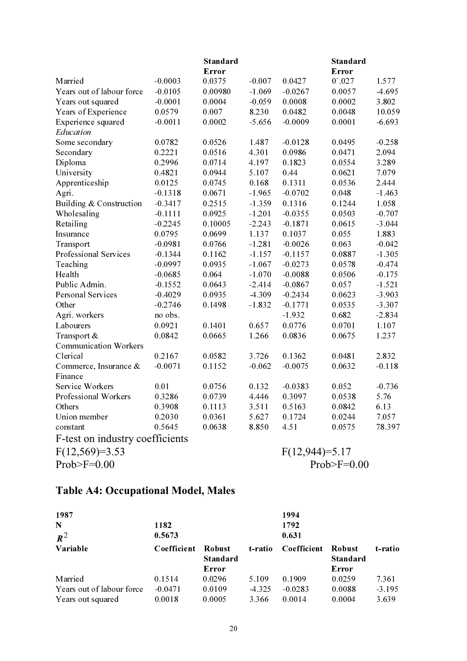|                                 |           | <b>Standard</b> |          |                  | <b>Standard</b>    |          |
|---------------------------------|-----------|-----------------|----------|------------------|--------------------|----------|
|                                 |           | Error           |          |                  | Error              |          |
| Married                         | $-0.0003$ | 0.0375          | $-0.007$ | 0.0427           | 0'.027             | 1.577    |
| Years out of labour force       | $-0.0105$ | 0.00980         | $-1.069$ | $-0.0267$        | 0.0057             | $-4.695$ |
| Years out squared               | $-0.0001$ | 0.0004          | $-0.059$ | 0.0008           | 0.0002             | 3.802    |
| Years of Experience             | 0.0579    | 0.007           | 8.230    | 0.0482           | 0.0048             | 10.059   |
| Experience squared              | $-0.0011$ | 0.0002          | $-5.656$ | $-0.0009$        | 0.0001             | $-6.693$ |
| Education                       |           |                 |          |                  |                    |          |
| Some secondary                  | 0.0782    | 0.0526          | 1.487    | $-0.0128$        | 0.0495             | $-0.258$ |
| Secondary                       | 0.2221    | 0.0516          | 4.301    | 0.0986           | 0.0471             | 2.094    |
| Diploma                         | 0.2996    | 0.0714          | 4.197    | 0.1823           | 0.0554             | 3.289    |
| University                      | 0.4821    | 0.0944          | 5.107    | 0.44             | 0.0621             | 7.079    |
| Apprenticeship                  | 0.0125    | 0.0745          | 0.168    | 0.1311           | 0.0536             | 2.444    |
| Agri.                           | $-0.1318$ | 0.0671          | $-1.965$ | $-0.0702$        | 0.048              | $-1.463$ |
| Building & Construction         | $-0.3417$ | 0.2515          | $-1.359$ | 0.1316           | 0.1244             | 1.058    |
| Wholesaling                     | $-0.1111$ | 0.0925          | $-1.201$ | $-0.0355$        | 0.0503             | $-0.707$ |
| Retailing                       | $-0.2245$ | 0.10005         | $-2.243$ | $-0.1871$        | 0.0615             | $-3.044$ |
| Insurance                       | 0.0795    | 0.0699          | 1.137    | 0.1037           | 0.055              | 1.883    |
| Transport                       | $-0.0981$ | 0.0766          | $-1.281$ | $-0.0026$        | 0.063              | $-0.042$ |
| Professional Services           | $-0.1344$ | 0.1162          | $-1.157$ | $-0.1157$        | 0.0887             | $-1.305$ |
| Teaching                        | $-0.0997$ | 0.0935          | $-1.067$ | $-0.0273$        | 0.0578             | $-0.474$ |
| Health                          | $-0.0685$ | 0.064           | $-1.070$ | $-0.0088$        | 0.0506             | $-0.175$ |
| Public Admin.                   | $-0.1552$ | 0.0643          | $-2.414$ | $-0.0867$        | 0.057              | $-1.521$ |
| Personal Services               | $-0.4029$ | 0.0935          | $-4.309$ | $-0.2434$        | 0.0623             | $-3.903$ |
| Other                           | $-0.2746$ | 0.1498          | $-1.832$ | $-0.1771$        | 0.0535             | $-3.307$ |
| Agri. workers                   | no obs.   |                 |          | $-1.932$         | 0.682              | $-2.834$ |
| Labourers                       | 0.0921    | 0.1401          | 0.657    | 0.0776           | 0.0701             | 1.107    |
| Transport &                     | 0.0842    | 0.0665          | 1.266    | 0.0836           | 0.0675             | 1.237    |
| <b>Communication Workers</b>    |           |                 |          |                  |                    |          |
| Clerical                        | 0.2167    | 0.0582          | 3.726    | 0.1362           | 0.0481             | 2.832    |
| Commerce, Insurance &           | $-0.0071$ | 0.1152          | $-0.062$ | $-0.0075$        | 0.0632             | $-0.118$ |
| Finance                         |           |                 |          |                  |                    |          |
| Service Workers                 | 0.01      | 0.0756          | 0.132    | $-0.0383$        | 0.052              | $-0.736$ |
| Professional Workers            | 0.3286    | 0.0739          | 4.446    | 0.3097           | 0.0538             | 5.76     |
| Others                          | 0.3908    | 0.1113          | 3.511    | 0.5163           | 0.0842             | 6.13     |
| Union member                    | 0.2030    | 0.0361          | 5.627    | 0.1724           | 0.0244             | 7.057    |
| constant                        | 0.5645    | 0.0638          | 8.850    | 4.51             | 0.0575             | 78.397   |
| F-test on industry coefficients |           |                 |          |                  |                    |          |
| $F(12,569)=3.53$                |           |                 |          | $F(12,944)=5.17$ |                    |          |
| Prob $\geq$ F=0.00              |           |                 |          |                  | Prob $\geq$ F=0.00 |          |

# Table A4: Occupational Model, Males

| 1987                      |             |                                           |          | 1994        |                                           |          |
|---------------------------|-------------|-------------------------------------------|----------|-------------|-------------------------------------------|----------|
| $\mathbf N$               | 1182        |                                           |          | 1792        |                                           |          |
| $R^2$                     | 0.5673      |                                           |          | 0.631       |                                           |          |
| Variable                  | Coefficient | <b>Robust</b><br><b>Standard</b><br>Error | t-ratio  | Coefficient | <b>Robust</b><br><b>Standard</b><br>Error | t-ratio  |
| Married                   | 0.1514      | 0.0296                                    | 5.109    | 0.1909      | 0.0259                                    | 7.361    |
| Years out of labour force | $-0.0471$   | 0.0109                                    | $-4.325$ | $-0.0283$   | 0.0088                                    | $-3.195$ |
| Years out squared         | 0.0018      | 0.0005                                    | 3.366    | 0.0014      | 0.0004                                    | 3.639    |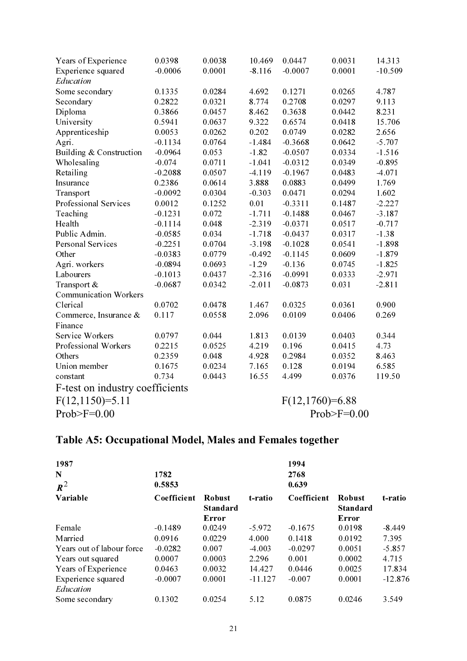| Years of Experience             | 0.0398    | 0.0038 | 10.469   | 0.0447            | 0.0031        | 14.313    |
|---------------------------------|-----------|--------|----------|-------------------|---------------|-----------|
| Experience squared              | $-0.0006$ | 0.0001 | $-8.116$ | $-0.0007$         | 0.0001        | $-10.509$ |
| Education                       |           |        |          |                   |               |           |
| Some secondary                  | 0.1335    | 0.0284 | 4.692    | 0.1271            | 0.0265        | 4.787     |
| Secondary                       | 0.2822    | 0.0321 | 8.774    | 0.2708            | 0.0297        | 9.113     |
| Diploma                         | 0.3866    | 0.0457 | 8.462    | 0.3638            | 0.0442        | 8.231     |
| University                      | 0.5941    | 0.0637 | 9.322    | 0.6574            | 0.0418        | 15.706    |
| Apprenticeship                  | 0.0053    | 0.0262 | 0.202    | 0.0749            | 0.0282        | 2.656     |
| Agri.                           | $-0.1134$ | 0.0764 | $-1.484$ | $-0.3668$         | 0.0642        | $-5.707$  |
| Building & Construction         | $-0.0964$ | 0.053  | $-1.82$  | $-0.0507$         | 0.0334        | $-1.516$  |
| Wholesaling                     | $-0.074$  | 0.0711 | $-1.041$ | $-0.0312$         | 0.0349        | $-0.895$  |
| Retailing                       | $-0.2088$ | 0.0507 | $-4.119$ | $-0.1967$         | 0.0483        | $-4.071$  |
| Insurance                       | 0.2386    | 0.0614 | 3.888    | 0.0883            | 0.0499        | 1.769     |
| Transport                       | $-0.0092$ | 0.0304 | $-0.303$ | 0.0471            | 0.0294        | 1.602     |
| Professional Services           | 0.0012    | 0.1252 | 0.01     | $-0.3311$         | 0.1487        | $-2.227$  |
| Teaching                        | $-0.1231$ | 0.072  | $-1.711$ | $-0.1488$         | 0.0467        | $-3.187$  |
| Health                          | $-0.1114$ | 0.048  | $-2.319$ | $-0.0371$         | 0.0517        | $-0.717$  |
| Public Admin.                   | $-0.0585$ | 0.034  | $-1.718$ | $-0.0437$         | 0.0317        | $-1.38$   |
| Personal Services               | $-0.2251$ | 0.0704 | $-3.198$ | $-0.1028$         | 0.0541        | $-1.898$  |
| Other                           | $-0.0383$ | 0.0779 | $-0.492$ | $-0.1145$         | 0.0609        | $-1.879$  |
| Agri. workers                   | $-0.0894$ | 0.0693 | $-1.29$  | $-0.136$          | 0.0745        | $-1.825$  |
| Labourers                       | $-0.1013$ | 0.0437 | $-2.316$ | $-0.0991$         | 0.0333        | $-2.971$  |
| Transport &                     | $-0.0687$ | 0.0342 | $-2.011$ | $-0.0873$         | 0.031         | $-2.811$  |
| <b>Communication Workers</b>    |           |        |          |                   |               |           |
| Clerical                        | 0.0702    | 0.0478 | 1.467    | 0.0325            | 0.0361        | 0.900     |
| Commerce, Insurance &           | 0.117     | 0.0558 | 2.096    | 0.0109            | 0.0406        | 0.269     |
| Finance                         |           |        |          |                   |               |           |
| Service Workers                 | 0.0797    | 0.044  | 1.813    | 0.0139            | 0.0403        | 0.344     |
| Professional Workers            | 0.2215    | 0.0525 | 4.219    | 0.196             | 0.0415        | 4.73      |
| Others                          | 0.2359    | 0.048  | 4.928    | 0.2984            | 0.0352        | 8.463     |
| Union member                    | 0.1675    | 0.0234 | 7.165    | 0.128             | 0.0194        | 6.585     |
| constant                        | 0.734     | 0.0443 | 16.55    | 4.499             | 0.0376        | 119.50    |
| F-test on industry coefficients |           |        |          |                   |               |           |
| $F(12,1150)=5.11$               |           |        |          | $F(12,1760)=6.88$ |               |           |
| $Prob>F=0.00$                   |           |        |          |                   | $Prob>F=0.00$ |           |

# Table A5: Occupational Model, Males and Females together

| 1987                            |             |                                           |           | 1994        |                                           |           |
|---------------------------------|-------------|-------------------------------------------|-----------|-------------|-------------------------------------------|-----------|
| N                               | 1782        |                                           |           | 2768        |                                           |           |
| $\mathbf{R}^2$                  | 0.5853      |                                           |           | 0.639       |                                           |           |
| Variable                        | Coefficient | <b>Robust</b><br><b>Standard</b><br>Error | t-ratio   | Coefficient | <b>Robust</b><br><b>Standard</b><br>Error | t-ratio   |
| Female                          | $-0.1489$   | 0.0249                                    | $-5.972$  | $-0.1675$   | 0.0198                                    | $-8.449$  |
| Married                         | 0.0916      | 0.0229                                    | 4.000     | 0.1418      | 0.0192                                    | 7.395     |
| Years out of labour force       | $-0.0282$   | 0.007                                     | $-4.003$  | $-0.0297$   | 0.0051                                    | $-5.857$  |
| Years out squared               | 0.0007      | 0.0003                                    | 2.296     | 0.001       | 0.0002                                    | 4.715     |
| Years of Experience             | 0.0463      | 0.0032                                    | 14.427    | 0.0446      | 0.0025                                    | 17.834    |
| Experience squared<br>Education | $-0.0007$   | 0.0001                                    | $-11.127$ | $-0.007$    | 0.0001                                    | $-12.876$ |
| Some secondary                  | 0.1302      | 0.0254                                    | 5.12      | 0.0875      | 0.0246                                    | 3.549     |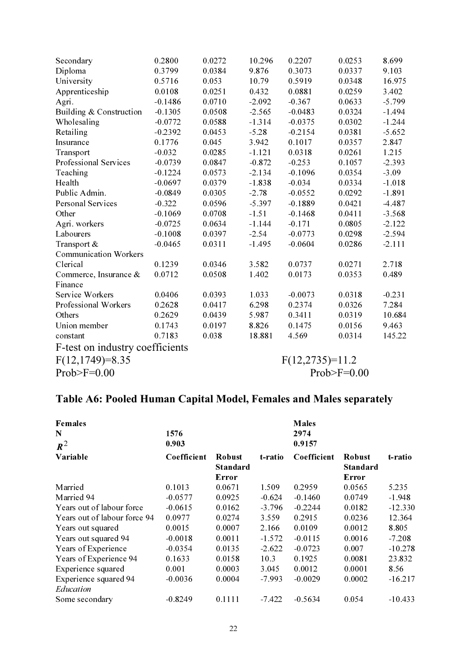| Secondary                       | 0.2800    | 0.0272        | 10.296   | 0.2207            | 0.0253 | 8.699    |
|---------------------------------|-----------|---------------|----------|-------------------|--------|----------|
| Diploma                         | 0.3799    | 0.0384        | 9.876    | 0.3073            | 0.0337 | 9.103    |
| University                      | 0.5716    | 0.053         | 10.79    | 0.5919            | 0.0348 | 16.975   |
| Apprenticeship                  | 0.0108    | 0.0251        | 0.432    | 0.0881            | 0.0259 | 3.402    |
| Agri.                           | $-0.1486$ | 0.0710        | $-2.092$ | $-0.367$          | 0.0633 | $-5.799$ |
| Building & Construction         | $-0.1305$ | 0.0508        | $-2.565$ | $-0.0483$         | 0.0324 | $-1.494$ |
| Wholesaling                     | $-0.0772$ | 0.0588        | $-1.314$ | $-0.0375$         | 0.0302 | $-1.244$ |
| Retailing                       | $-0.2392$ | 0.0453        | $-5.28$  | $-0.2154$         | 0.0381 | $-5.652$ |
| Insurance                       | 0.1776    | 0.045         | 3.942    | 0.1017            | 0.0357 | 2.847    |
| Transport                       | $-0.032$  | 0.0285        | $-1.121$ | 0.0318            | 0.0261 | 1.215    |
| Professional Services           | $-0.0739$ | 0.0847        | $-0.872$ | $-0.253$          | 0.1057 | $-2.393$ |
| Teaching                        | $-0.1224$ | 0.0573        | $-2.134$ | $-0.1096$         | 0.0354 | $-3.09$  |
| Health                          | $-0.0697$ | 0.0379        | $-1.838$ | $-0.034$          | 0.0334 | $-1.018$ |
| Public Admin.                   | $-0.0849$ | 0.0305        | $-2.78$  | $-0.0552$         | 0.0292 | $-1.891$ |
| Personal Services               | $-0.322$  | 0.0596        | $-5.397$ | $-0.1889$         | 0.0421 | $-4.487$ |
| Other                           | $-0.1069$ | 0.0708        | $-1.51$  | $-0.1468$         | 0.0411 | $-3.568$ |
| Agri. workers                   | $-0.0725$ | 0.0634        | $-1.144$ | $-0.171$          | 0.0805 | $-2.122$ |
| Labourers                       | $-0.1008$ | 0.0397        | $-2.54$  | $-0.0773$         | 0.0298 | $-2.594$ |
| Transport &                     | $-0.0465$ | 0.0311        | $-1.495$ | $-0.0604$         | 0.0286 | $-2.111$ |
| <b>Communication Workers</b>    |           |               |          |                   |        |          |
| Clerical                        | 0.1239    | 0.0346        | 3.582    | 0.0737            | 0.0271 | 2.718    |
| Commerce, Insurance &           | 0.0712    | 0.0508        | 1.402    | 0.0173            | 0.0353 | 0.489    |
| Finance                         |           |               |          |                   |        |          |
| <b>Service Workers</b>          | 0.0406    | 0.0393        | 1.033    | $-0.0073$         | 0.0318 | $-0.231$ |
| Professional Workers            | 0.2628    | 0.0417        | 6.298    | 0.2374            | 0.0326 | 7.284    |
| Others                          | 0.2629    | 0.0439        | 5.987    | 0.3411            | 0.0319 | 10.684   |
| Union member                    | 0.1743    | 0.0197        | 8.826    | 0.1475            | 0.0156 | 9.463    |
| constant                        | 0.7183    | 0.038         | 18.881   | 4.569             | 0.0314 | 145.22   |
| F-test on industry coefficients |           |               |          |                   |        |          |
| $F(12,1749)=8.35$               |           |               |          | $F(12,2735)=11.2$ |        |          |
| $Prob>F=0.00$                   |           | $Prob>F=0.00$ |          |                   |        |          |

# Table A6: Pooled Human Capital Model, Females and Males separately

| <b>Females</b><br>N<br>$\mathbf{R}^2$ | 1576<br>0.903 |                                           |          | <b>Males</b><br>2974<br>0.9157 |                                    |           |
|---------------------------------------|---------------|-------------------------------------------|----------|--------------------------------|------------------------------------|-----------|
| Variable                              | Coefficient   | <b>Robust</b><br><b>Standard</b><br>Error | t-ratio  | Coefficient                    | <b>Robust</b><br>Standard<br>Error | t-ratio   |
| Married                               | 0.1013        | 0.0671                                    | 1.509    | 0.2959                         | 0.0565                             | 5.235     |
| Married 94                            | $-0.0577$     | 0.0925                                    | $-0.624$ | $-0.1460$                      | 0.0749                             | $-1.948$  |
| Years out of labour force             | $-0.0615$     | 0.0162                                    | $-3.796$ | $-0.2244$                      | 0.0182                             | $-12.330$ |
| Years out of labour force 94          | 0.0977        | 0.0274                                    | 3.559    | 0.2915                         | 0.0236                             | 12.364    |
| Years out squared                     | 0.0015        | 0.0007                                    | 2.166    | 0.0109                         | 0.0012                             | 8.805     |
| Years out squared 94                  | $-0.0018$     | 0.0011                                    | $-1.572$ | $-0.0115$                      | 0.0016                             | $-7.208$  |
| Years of Experience                   | $-0.0354$     | 0.0135                                    | $-2.622$ | $-0.0723$                      | 0.007                              | $-10.278$ |
| Years of Experience 94                | 0.1633        | 0.0158                                    | 10.3     | 0.1925                         | 0.0081                             | 23.832    |
| Experience squared                    | 0.001         | 0.0003                                    | 3.045    | 0.0012                         | 0.0001                             | 8.56      |
| Experience squared 94<br>Education    | $-0.0036$     | 0.0004                                    | $-7.993$ | $-0.0029$                      | 0.0002                             | $-16.217$ |
| Some secondary                        | $-0.8249$     | 0.1111                                    | $-7.422$ | $-0.5634$                      | 0.054                              | $-10.433$ |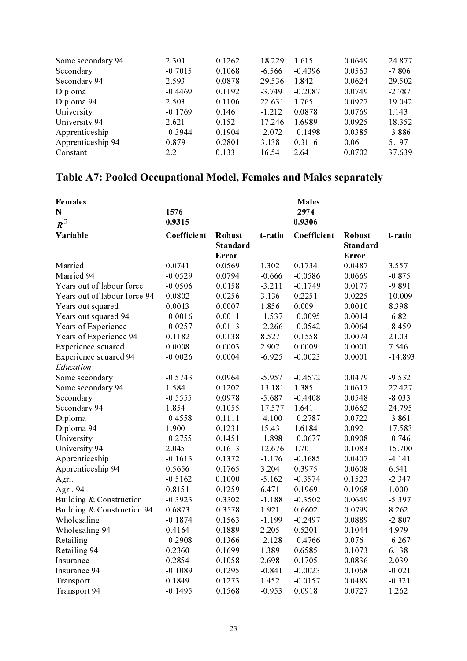| 24.877   |
|----------|
| $-7.806$ |
| 29.502   |
| $-2.787$ |
| 19.042   |
| 1.143    |
| 18.352   |
| $-3.886$ |
| 5.197    |
| 37.639   |
|          |

# Table A7: Pooled Occupational Model, Females and Males separately

| <b>Females</b>               |             |                                           |          | <b>Males</b> |                                           |           |
|------------------------------|-------------|-------------------------------------------|----------|--------------|-------------------------------------------|-----------|
| N                            | 1576        |                                           |          | 2974         |                                           |           |
| $\boldsymbol{R}^2$           | 0.9315      |                                           |          | 0.9306       |                                           |           |
| Variable                     | Coefficient | <b>Robust</b><br><b>Standard</b><br>Error | t-ratio  | Coefficient  | <b>Robust</b><br><b>Standard</b><br>Error | t-ratio   |
| Married                      | 0.0741      | 0.0569                                    | 1.302    | 0.1734       | 0.0487                                    | 3.557     |
| Married 94                   | $-0.0529$   | 0.0794                                    | $-0.666$ | $-0.0586$    | 0.0669                                    | $-0.875$  |
| Years out of labour force    | $-0.0506$   | 0.0158                                    | $-3.211$ | $-0.1749$    | 0.0177                                    | $-9.891$  |
| Years out of labour force 94 | 0.0802      | 0.0256                                    | 3.136    | 0.2251       | 0.0225                                    | 10.009    |
| Years out squared            | 0.0013      | 0.0007                                    | 1.856    | 0.009        | 0.0010                                    | 8.398     |
| Years out squared 94         | $-0.0016$   | 0.0011                                    | $-1.537$ | $-0.0095$    | 0.0014                                    | $-6.82$   |
| Years of Experience          | $-0.0257$   | 0.0113                                    | $-2.266$ | $-0.0542$    | 0.0064                                    | $-8.459$  |
| Years of Experience 94       | 0.1182      | 0.0138                                    | 8.527    | 0.1558       | 0.0074                                    | 21.03     |
| Experience squared           | 0.0008      | 0.0003                                    | 2.907    | 0.0009       | 0.0001                                    | 7.546     |
| Experience squared 94        | $-0.0026$   | 0.0004                                    | $-6.925$ | $-0.0023$    | 0.0001                                    | $-14.893$ |
| Education                    |             |                                           |          |              |                                           |           |
| Some secondary               | $-0.5743$   | 0.0964                                    | $-5.957$ | $-0.4572$    | 0.0479                                    | $-9.532$  |
| Some secondary 94            | 1.584       | 0.1202                                    | 13.181   | 1.385        | 0.0617                                    | 22.427    |
| Secondary                    | $-0.5555$   | 0.0978                                    | $-5.687$ | $-0.4408$    | 0.0548                                    | $-8.033$  |
| Secondary 94                 | 1.854       | 0.1055                                    | 17.577   | 1.641        | 0.0662                                    | 24.795    |
| Diploma                      | $-0.4558$   | 0.1111                                    | $-4.100$ | $-0.2787$    | 0.0722                                    | $-3.861$  |
| Diploma 94                   | 1.900       | 0.1231                                    | 15.43    | 1.6184       | 0.092                                     | 17.583    |
| University                   | $-0.2755$   | 0.1451                                    | $-1.898$ | $-0.0677$    | 0.0908                                    | $-0.746$  |
| University 94                | 2.045       | 0.1613                                    | 12.676   | 1.701        | 0.1083                                    | 15.700    |
| Apprenticeship               | $-0.1613$   | 0.1372                                    | $-1.176$ | $-0.1685$    | 0.0407                                    | $-4.141$  |
| Apprenticeship 94            | 0.5656      | 0.1765                                    | 3.204    | 0.3975       | 0.0608                                    | 6.541     |
| Agri.                        | $-0.5162$   | 0.1000                                    | $-5.162$ | $-0.3574$    | 0.1523                                    | $-2.347$  |
| Agri. 94                     | 0.8151      | 0.1259                                    | 6.471    | 0.1969       | 0.1968                                    | 1.000     |
| Building & Construction      | $-0.3923$   | 0.3302                                    | $-1.188$ | $-0.3502$    | 0.0649                                    | $-5.397$  |
| Building & Construction 94   | 0.6873      | 0.3578                                    | 1.921    | 0.6602       | 0.0799                                    | 8.262     |
| Wholesaling                  | $-0.1874$   | 0.1563                                    | $-1.199$ | $-0.2497$    | 0.0889                                    | $-2.807$  |
| Wholesaling 94               | 0.4164      | 0.1889                                    | 2.205    | 0.5201       | 0.1044                                    | 4.979     |
| Retailing                    | $-0.2908$   | 0.1366                                    | $-2.128$ | $-0.4766$    | 0.076                                     | $-6.267$  |
| Retailing 94                 | 0.2360      | 0.1699                                    | 1.389    | 0.6585       | 0.1073                                    | 6.138     |
| Insurance                    | 0.2854      | 0.1058                                    | 2.698    | 0.1705       | 0.0836                                    | 2.039     |
| Insurance 94                 | $-0.1089$   | 0.1295                                    | $-0.841$ | $-0.0023$    | 0.1068                                    | $-0.021$  |
| Transport                    | 0.1849      | 0.1273                                    | 1.452    | $-0.0157$    | 0.0489                                    | $-0.321$  |
| Transport 94                 | $-0.1495$   | 0.1568                                    | $-0.953$ | 0.0918       | 0.0727                                    | 1.262     |